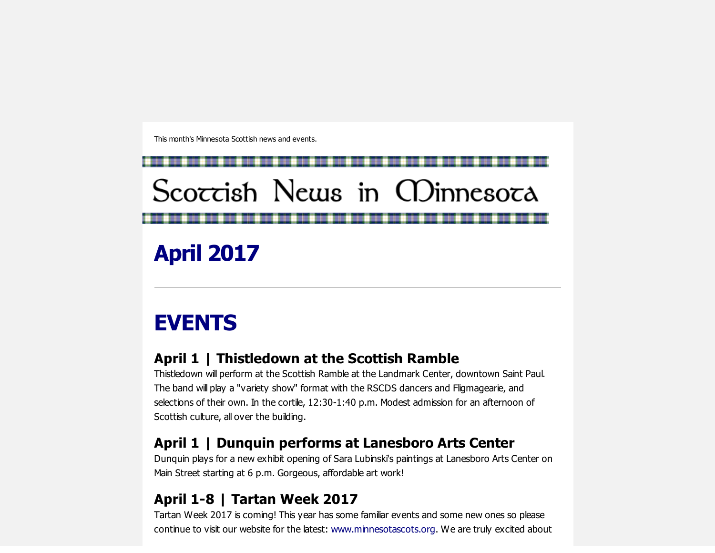This month's Minnesota Scottish news and events.

# Scoccish News in CDinnesoca

April 2017

# EVENTS

## April 1 | Thistledown at the Scottish Ramble

Thistledown will perform at the Scottish Ramble at the Landmark Center, downtown Saint Paul. The band will play a "variety show" format with the RSCDS dancers and Fligmagearie, and selections of their own. In the cortile, 12:30-1:40 p.m. Modest admission for an afternoon of Scottish culture, all over the building.

### April 1 | Dunquin performs at Lanesboro Arts Center

Dunquin plays for a new exhibit opening of Sara Lubinski's paintings at Lanesboro Arts Center on Main Street starting at 6 p.m. Gorgeous, affordable art work!

# April 1-8 | Tartan Week 2017

Tartan Week 2017 is coming! This year has some familiar events and some new ones so please continue to visit our website for the latest: [www.minnesotascots.org.](http://scottishamericancentermn.us10.list-manage2.com/track/click?u=2fe4099001736ac4b948473e4&id=402200c04c&e=b66e88de97) We are truly excited about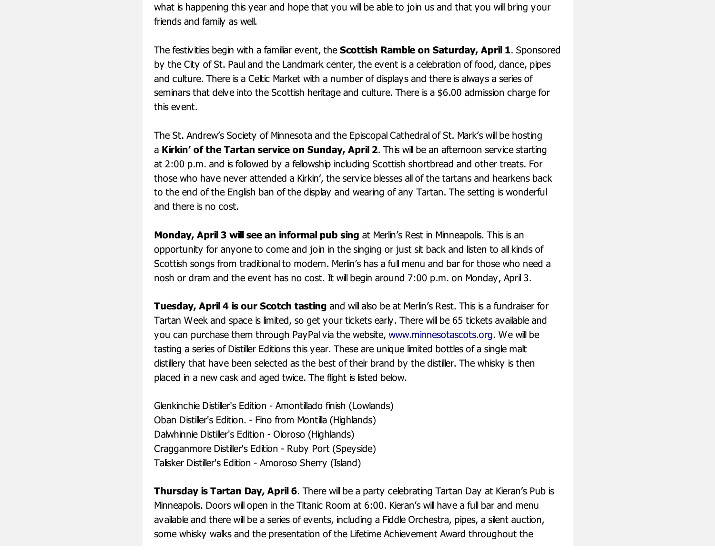what is happening this year and hope that you will be able to join us and that you will bring your friends and family as well.

The festivities begin with a familiar event, the **Scottish Ramble on Saturday, April 1**. Sponsored by the City of St. Paul and the Landmark center, the event is a celebration of food, dance, pipes and culture. There is a Celtic Market with a number of displays and there is always a series of seminars that delve into the Scottish heritage and culture. There is a \$6.00 admission charge for this event.

The St. Andrew's Society of Minnesota and the Episcopal Cathedral of St. Mark's will be hosting a Kirkin' of the Tartan service on Sunday, April 2. This will be an afternoon service starting at 2:00 p.m. and is followed by a fellowship including Scottish shortbread and other treats. For those who have never attended a Kirkin', the service blesses all of the tartans and hearkens back to the end of the English ban of the display and wearing of any Tartan. The setting is wonderful and there is no cost.

Monday, April 3 will see an informal pub sing at Merlin's Rest in Minneapolis. This is an opportunity for anyone to come and join in the singing or just sit back and listen to all kinds of Scottish songs from traditional to modern. Merlin's has a full menu and bar for those who need a nosh or dram and the event has no cost. It will begin around 7:00 p.m. on Monday, April 3.

Tuesday, April 4 is our Scotch tasting and will also be at Merlin's Rest. This is a fundraiser for Tartan Week and space is limited, so get your tickets early. There will be 65 tickets available and you can purchase them through PayPal via the website, [www.minnesotascots.org.](http://scottishamericancentermn.us10.list-manage.com/track/click?u=2fe4099001736ac4b948473e4&id=e3f528ad66&e=b66e88de97) We will be tasting a series of Distiller Editions this year. These are unique limited bottles of a single malt distillery that have been selected as the best of their brand by the distiller. The whisky is then placed in a new cask and aged twice. The flight is listed below.

Glenkinchie Distiller's Edition Amontillado finish (Lowlands) Oban Distiller's Edition. Fino from Montilla (Highlands) Dalwhinnie Distiller's Edition - Oloroso (Highlands) Cragganmore Distiller's Edition - Ruby Port (Speyside) Talisker Distiller's Edition Amoroso Sherry (Island)

Thursday is Tartan Day, April 6. There will be a party celebrating Tartan Day at Kieran's Pub is Minneapolis. Doors will open in the Titanic Room at 6:00. Kieran's will have a full bar and menu available and there will be a series of events, including a Fiddle Orchestra, pipes, a silent auction, some whisky walks and the presentation of the Lifetime Achievement Award throughout the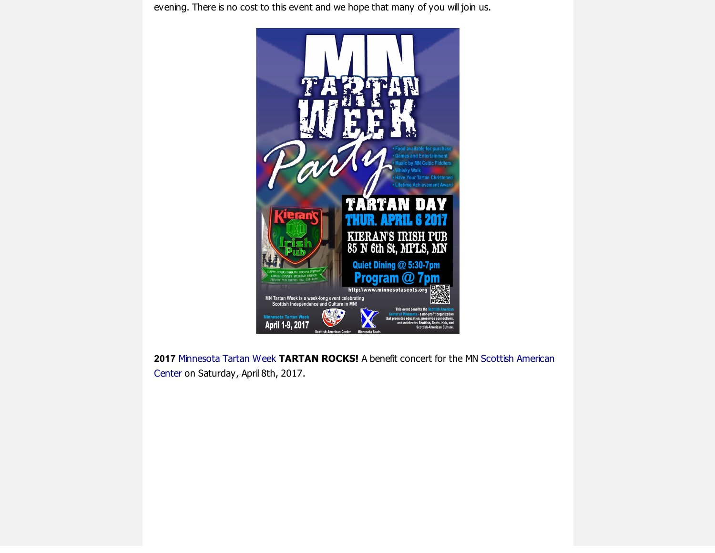evening. There is no cost to this event and we hope that many of you will join us.



2017 [M](http://scottishamericancentermn.us10.list-manage1.com/track/click?u=2fe4099001736ac4b948473e4&id=db85e49d13&e=b66e88de97)[innesota](http://scottishamericancentermn.us10.list-manage.com/track/click?u=2fe4099001736ac4b948473e4&id=f32642f55e&e=b66e88de97) Tartan Week TARTAN ROCKS! A benefit concert for the MN Scottish American Center on Saturday, April 8th, 2017.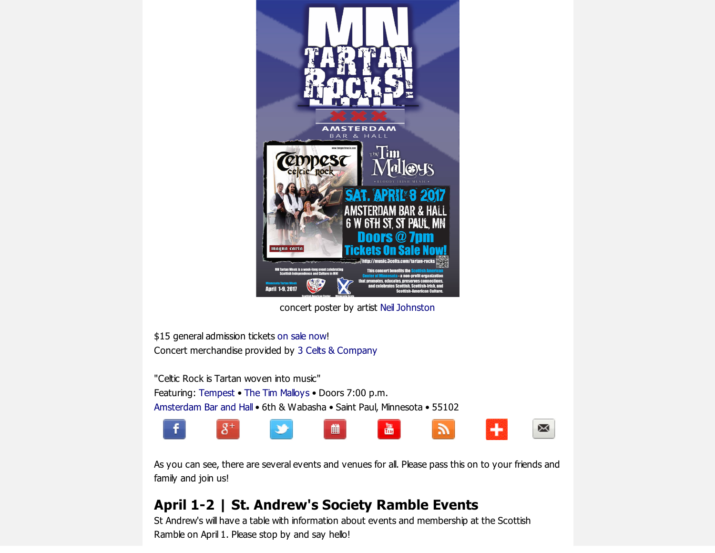

concert poster by artist Neil [Johnston](http://www.paintstew.com/)

\$15 general admission tickets on sale [now!](http://goo.gl/8gyskk) Concert merchandise provided by 3 Celts & [Company](http://music.3celts.com/tartan-rocks/)

"Celtic Rock is Tartan woven into music" Featuring: [Tempest](http://www.tempestmusic.com/) • The Tim [Malloys](http://www.timmalloys.com/) • Doors 7:00 p.m. [Amsterdam](http://www.amsterdambarandhall.com/) Bar and Hall • 6th & Wabasha • Saint Paul, Minnesota • 55102



As you can see, there are several events and venues for all. Please pass this on to your friends and family and join us!

#### April 1-2 | St. Andrew's Society Ramble Events

St Andrew's will have a table with information about events and membership at the Scottish Ramble on April 1. Please stop by and say hello!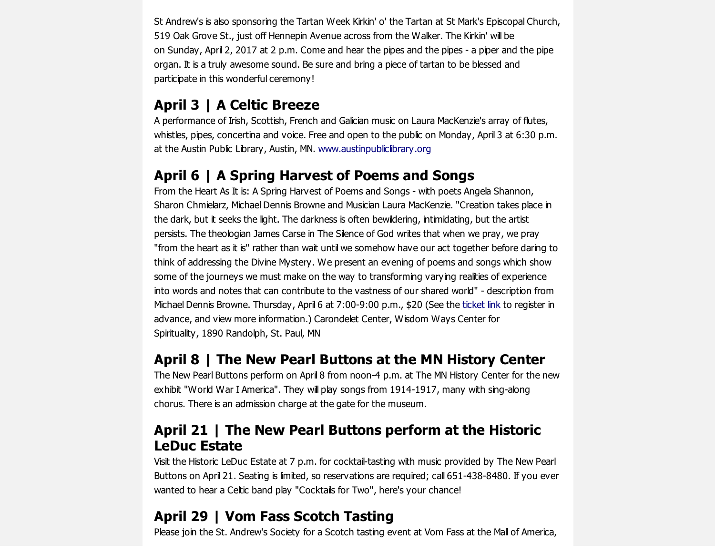St Andrew's is also sponsoring the Tartan Week Kirkin' o' the Tartan at St Mark's Episcopal Church, 519 Oak Grove St., just off Hennepin Avenue across from the Walker. The Kirkin' will be on Sunday, April 2, 2017 at 2 p.m. Come and hear the pipes and the pipes a piper and the pipe organ. It is a truly awesome sound. Be sure and bring a piece of tartan to be blessed and participate in this wonderful ceremony!

#### April 3 | A Celtic Breeze

A performance of Irish, Scottish, French and Galician music on Laura MacKenzie's array of flutes, whistles, pipes, concertina and voice. Free and open to the public on Monday, April 3 at 6:30 p.m. at the Austin Public Library, Austin, MN. [www.austinpubliclibrary.org](http://www.austinpubliclibrary.org/)

#### April 6 | A Spring Harvest of Poems and Songs

From the Heart As It is: A Spring Harvest of Poems and Songs - with poets Angela Shannon, Sharon Chmielarz, Michael Dennis Browne and Musician Laura MacKenzie. "Creation takes place in the dark, but it seeks the light. The darkness is often bewildering, intimidating, but the artist persists. The theologian James Carse in The Silence of God writes that when we pray, we pray "from the heart as it is" rather than wait until we somehow have our act together before daring to think of addressing the Divine Mystery. We present an evening of poems and songs which show some of the journeys we must make on the way to transforming varying realities of experience into words and notes that can contribute to the vastness of our shared world" - description from Michael Dennis Browne. Thursday, April 6 at 7:00-9:00 p.m., \$20 (See the [ticket](http://scottishamericancentermn.us10.list-manage2.com/track/click?u=2fe4099001736ac4b948473e4&id=e3669c0ca5&e=b66e88de97) link to register in advance, and view more information.) Carondelet Center, Wisdom Ways Center for Spirituality, 1890 Randolph, St. Paul, MN

#### April 8 | The New Pearl Buttons at the MN History Center

The New Pearl Buttons perform on April 8 from noon-4 p.m. at The MN History Center for the new exhibit "World War I America". They will play songs from 1914-1917, many with sing-along chorus. There is an admission charge at the gate for the museum.

#### April 21 | The New Pearl Buttons perform at the Historic LeDuc Estate

Visit the Historic LeDuc Estate at 7 p.m. for cocktail-tasting with music provided by The New Pearl Buttons on April 21. Seating is limited, so reservations are required; call 651-438-8480. If you ever wanted to hear a Celtic band play "Cocktails for Two", here's your chance!

#### April 29 | Vom Fass Scotch Tasting

Please join the St. Andrew's Society for a Scotch tasting event at Vom Fass at the Mall of America,